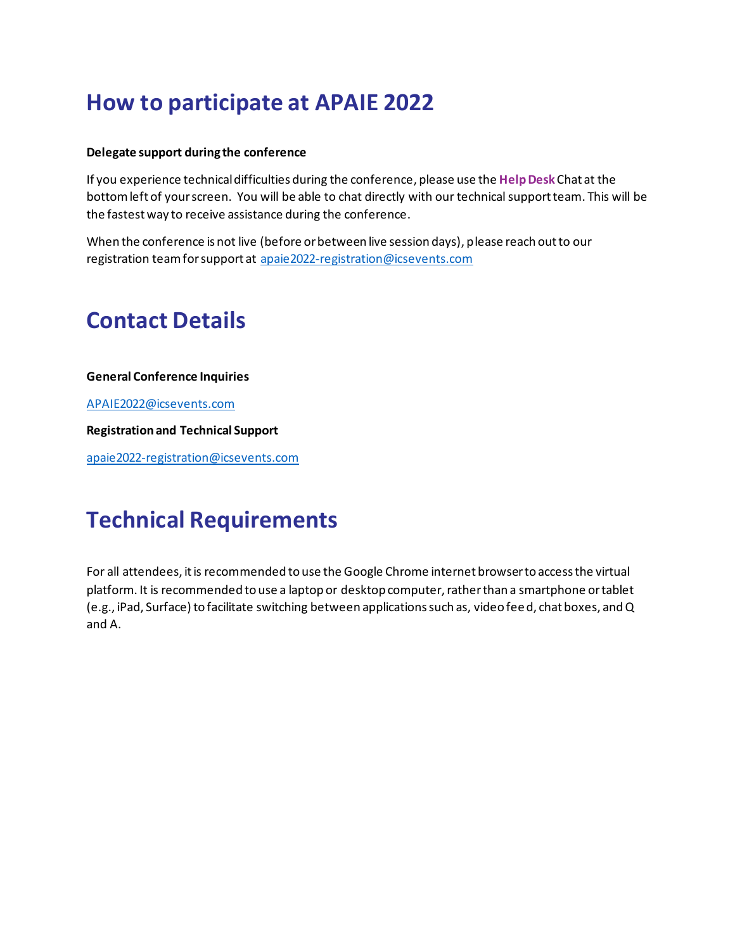## **How to participate at APAIE 2022**

#### **Delegate support during the conference**

If you experience technical difficulties during the conference, please use the **Help Desk** Chat at the bottom left of your screen. You will be able to chat directly with our technical support team. This will be the fastest way to receive assistance during the conference.

When the conference is not live (before or between live session days), please reach out to our registration team for support at apaie2022-registration@icsevents.com

### **Contact Details**

**General Conference Inquiries** 

APAIE2022@icsevents.com

**Registration and Technical Support** 

apaie2022-registration@icsevents.com

## **Technical Requirements**

For all attendees, it is recommended to use the Google Chrome internet browser to access the virtual platform. It is recommended to use a laptop or desktop computer, rather than a smartphone or tablet (e.g., iPad, Surface) to facilitate switching between applications such as, video fee d, chat boxes, and Q and A.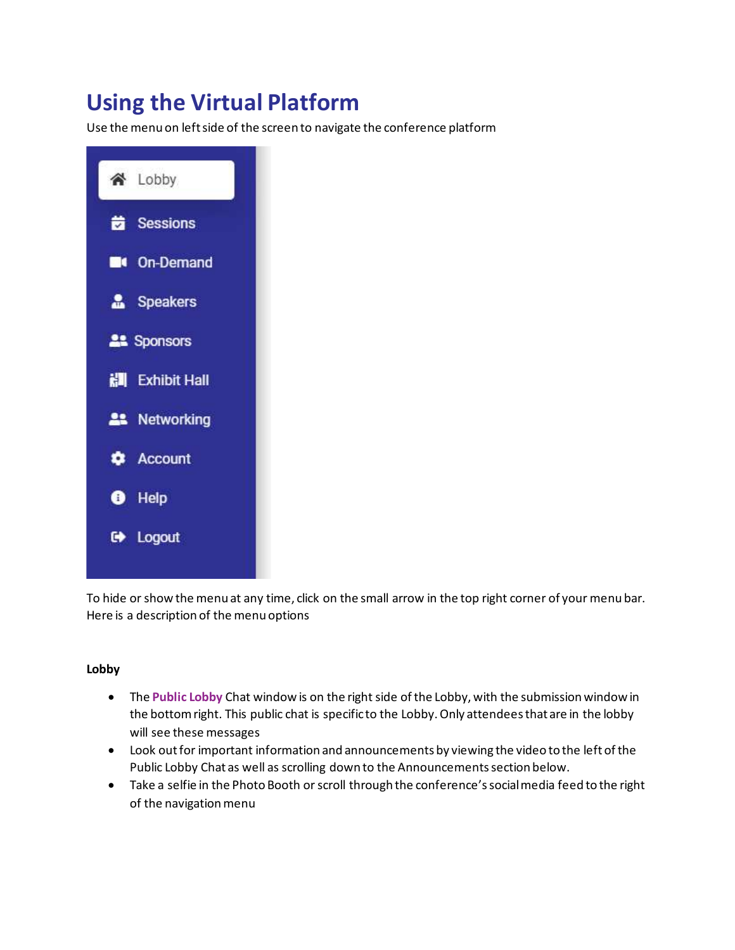# **Using the Virtual Platform**

Use the menu on left side of the screen to navigate the conference platform



To hide or show the menu at any time, click on the small arrow in the top right corner of your menu bar. Here is a description of the menu options

### **Lobby**

- The **Public Lobby** Chat window is on the right side of the Lobby, with the submission window in the bottom right. This public chat is specific to the Lobby. Only attendees that are in the lobby will see these messages
- Look out for important information and announcements by viewing the video to the left of the Public Lobby Chat as well as scrolling down to the Announcements section below.
- Take a selfie in the Photo Booth or scroll through the conference's social media feed to the right of the navigation menu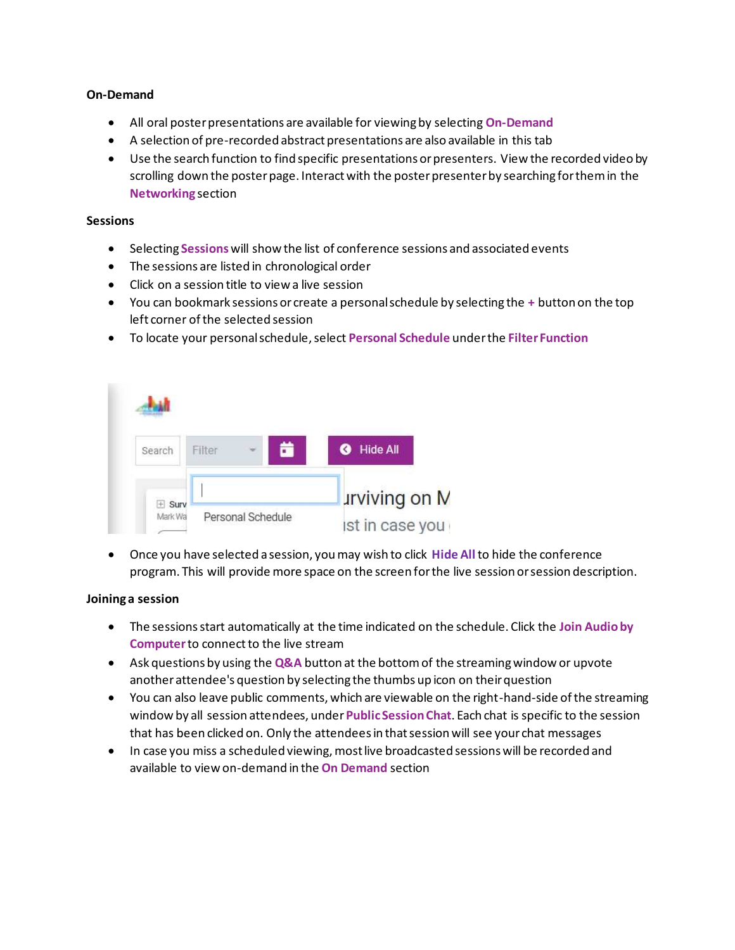#### **On-Demand**

- All oral poster presentations are available for viewing by selecting **On-Demand**
- A selection of pre-recorded abstract presentations are also available in this tab
- Use the search function to find specific presentations or presenters. View the recorded video by scrolling down the poster page. Interact with the poster presenter by searching for them in the **Networking** section

#### **Sessions**

- Selecting **Sessions** will show the list of conference sessions and associated events
- The sessions are listed in chronological order
- Click on a session title to view a live session
- You can bookmark sessions or create a personal schedule by selecting the **+** button on the top left corner of the selected session
- To locate your personal schedule, select **Personal Schedule** under the **Filter Function**



• Once you have selected a session, you may wish to click **Hide All** to hide the conference program. This will provide more space on the screen for the live session or session description.

#### **Joining a session**

- The sessions start automatically at the time indicated on the schedule. Click the **Join Audio by Computer** to connect to the live stream
- Ask questions by using the **Q&A** button at the bottom of the streaming window or upvote another attendee's question by selecting the thumbs up icon on their question
- You can also leave public comments, which are viewable on the right-hand-side of the streaming window by all session attendees, under **Public Session Chat**. Each chat is specific to the session that has been clicked on. Only the attendees in that session will see your chat messages
- In case you miss a scheduled viewing, most live broadcasted sessions will be recorded and available to view on-demand in the **On Demand** section